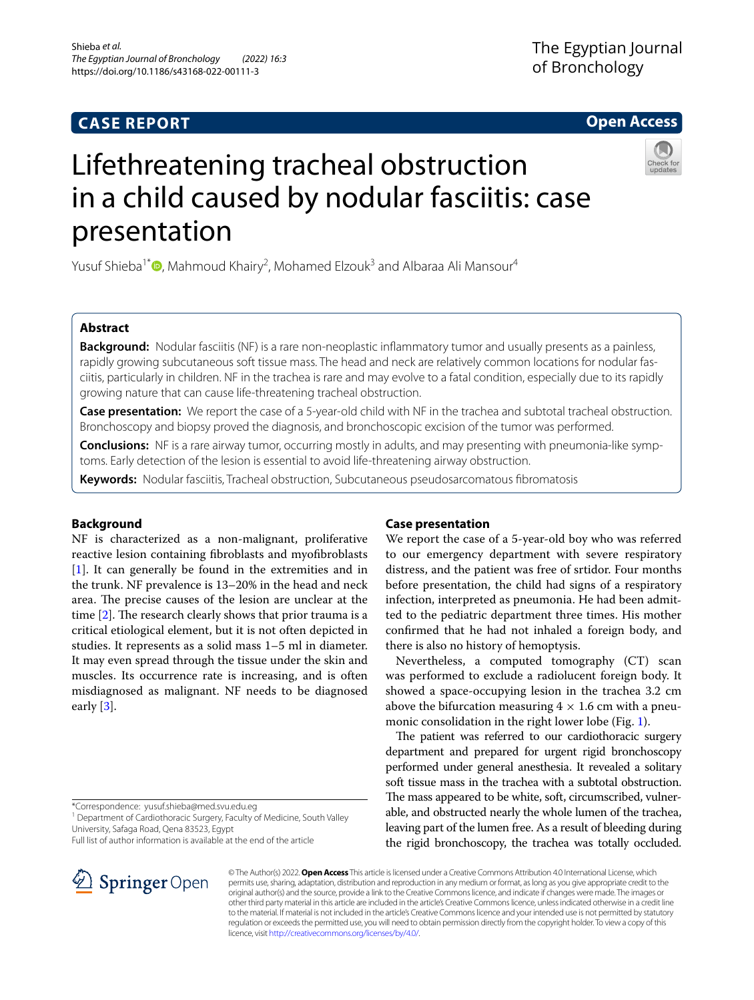# **CASE REPORT**

# **Open Access**



# Lifethreatening tracheal obstruction in a child caused by nodular fasciitis: case presentation

Yusuf Shieba<sup>1\*</sup><sup>®</sup>[,](http://orcid.org/0000-0002-0565-7795) Mahmoud Khairy<sup>2</sup>, Mohamed Elzouk<sup>3</sup> and Albaraa Ali Mansour<sup>4</sup>

## **Abstract**

**Background:** Nodular fasciitis (NF) is a rare non-neoplastic infammatory tumor and usually presents as a painless, rapidly growing subcutaneous soft tissue mass. The head and neck are relatively common locations for nodular fasciitis, particularly in children. NF in the trachea is rare and may evolve to a fatal condition, especially due to its rapidly growing nature that can cause life-threatening tracheal obstruction.

**Case presentation:** We report the case of a 5-year-old child with NF in the trachea and subtotal tracheal obstruction. Bronchoscopy and biopsy proved the diagnosis, and bronchoscopic excision of the tumor was performed.

**Conclusions:** NF is a rare airway tumor, occurring mostly in adults, and may presenting with pneumonia-like symptoms. Early detection of the lesion is essential to avoid life-threatening airway obstruction.

**Keywords:** Nodular fasciitis, Tracheal obstruction, Subcutaneous pseudosarcomatous fbromatosis

### **Background**

NF is characterized as a non-malignant, proliferative reactive lesion containing fbroblasts and myofbroblasts [[1\]](#page-2-0). It can generally be found in the extremities and in the trunk. NF prevalence is 13–20% in the head and neck area. The precise causes of the lesion are unclear at the time  $[2]$  $[2]$ . The research clearly shows that prior trauma is a critical etiological element, but it is not often depicted in studies. It represents as a solid mass 1–5 ml in diameter. It may even spread through the tissue under the skin and muscles. Its occurrence rate is increasing, and is often misdiagnosed as malignant. NF needs to be diagnosed early [[3\]](#page-2-2).

\*Correspondence: yusuf.shieba@med.svu.edu.eg

<sup>1</sup> Department of Cardiothoracic Surgery, Faculty of Medicine, South Valley University, Safaga Road, Qena 83523, Egypt

Full list of author information is available at the end of the article

# SpringerOpen

## **Case presentation**

We report the case of a 5-year-old boy who was referred to our emergency department with severe respiratory distress, and the patient was free of srtidor. Four months before presentation, the child had signs of a respiratory infection, interpreted as pneumonia. He had been admitted to the pediatric department three times. His mother confrmed that he had not inhaled a foreign body, and there is also no history of hemoptysis.

Nevertheless, a computed tomography (CT) scan was performed to exclude a radiolucent foreign body. It showed a space-occupying lesion in the trachea 3.2 cm above the bifurcation measuring  $4 \times 1.6$  cm with a pneu-monic consolidation in the right lower lobe (Fig. [1](#page-1-0)).

The patient was referred to our cardiothoracic surgery department and prepared for urgent rigid bronchoscopy performed under general anesthesia. It revealed a solitary soft tissue mass in the trachea with a subtotal obstruction. The mass appeared to be white, soft, circumscribed, vulnerable, and obstructed nearly the whole lumen of the trachea, leaving part of the lumen free. As a result of bleeding during the rigid bronchoscopy, the trachea was totally occluded.

© The Author(s) 2022. **Open Access** This article is licensed under a Creative Commons Attribution 4.0 International License, which permits use, sharing, adaptation, distribution and reproduction in any medium or format, as long as you give appropriate credit to the original author(s) and the source, provide a link to the Creative Commons licence, and indicate if changes were made. The images or other third party material in this article are included in the article's Creative Commons licence, unless indicated otherwise in a credit line to the material. If material is not included in the article's Creative Commons licence and your intended use is not permitted by statutory regulation or exceeds the permitted use, you will need to obtain permission directly from the copyright holder. To view a copy of this licence, visit [http://creativecommons.org/licenses/by/4.0/.](http://creativecommons.org/licenses/by/4.0/)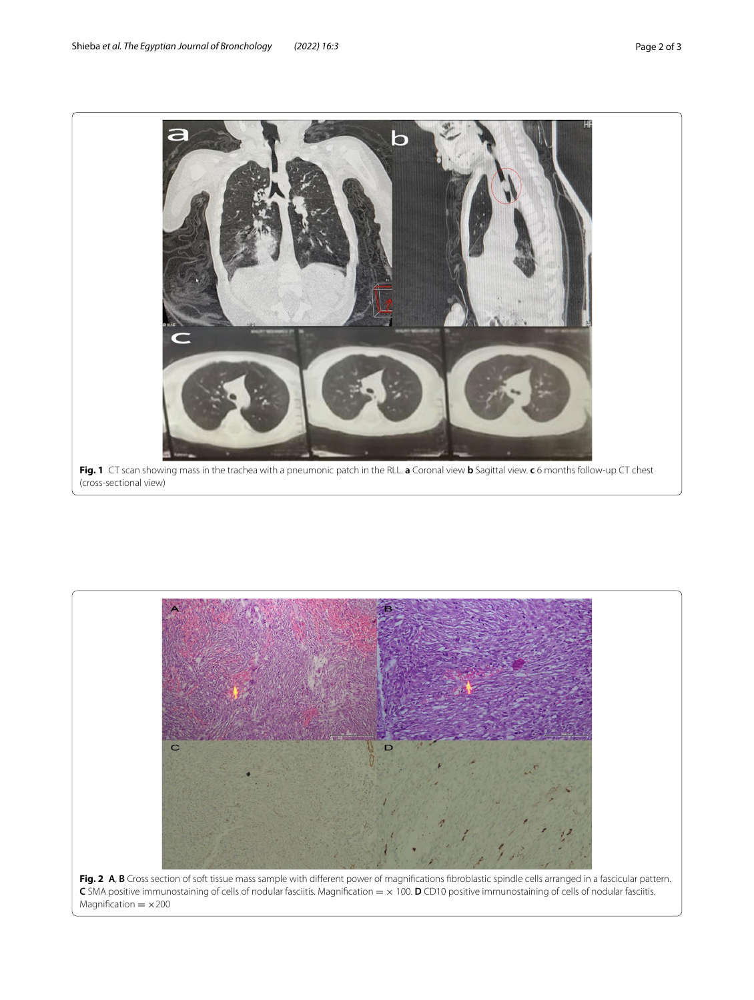

<span id="page-1-1"></span><span id="page-1-0"></span>